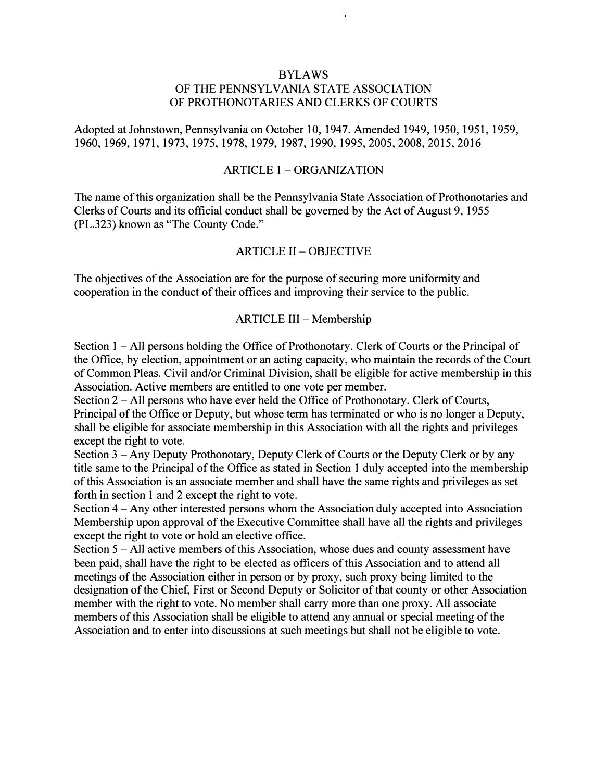# BYLAWS OF THE PENNSYLVANIA STATE ASSOCIATION OF PROTHONOTARIES AND CLERKS OF COURTS

Adopted at Johnstown, Pennsylvania on October 10, 1947. Amended 1949, 1950, 1951, 1959, 1960, 1969, 1971, 1973, 1975, 1978, 1979, 1987, 1990, 1995,2005,2008,2015,2016

### ARTICLE 1 - ORGANIZATION

The name of this organization shall be the Pennsylvania State Association of Prothonotaries and Clerks of Courts and its official conduct shall be governed by the Act of August 9, 1955 (PL.323) known as "The County Code."

### ARTICLE II - OBJECTIVE

The objectives of the Association are for the purpose of securing more uniformity and cooperation in the conduct of their offices and improving their service to the public.

### ARTICLE III - Membership

Section 1 – All persons holding the Office of Prothonotary. Clerk of Courts or the Principal of the Office, by election, appointment or an acting capacity, who maintain the records of the Court of Common Pleas. Civil and/or Criminal Division, shall be eligible for active membership in this Association. Active members are entitled to one vote per member.

Section 2 – All persons who have ever held the Office of Prothonotary. Clerk of Courts, Principal of the Office or Deputy, but whose term has terminated or who is no longer a Deputy, shall be eligible for associate membership in this Association with all the rights and privileges except the right to vote.

Section 3 - Any Deputy Prothonotary, Deputy Clerk of Courts or the Deputy Clerk or by any title same to the Principal of the Office as stated in Section 1 duly accepted into the membership of this Association is an associate member and shall have the same rights and privileges as set forth in section 1 and 2 except the right to vote.

Section 4 - Any other interested persons whom the Association duly accepted into Association Membership upon approval of the Executive Committee shall have all the rights and privileges except the right to vote or hold an elective office.

Section 5 - All active members of this Association, whose dues and county assessment have been paid, shall have the right to be elected as officers of this Association and to attend all meetings of the Association either in person or by proxy, such proxy being limited to the designation of the Chief, First or Second Deputy or Solicitor of that county or other Association member with the right to vote. No member shall carry more than one proxy. All associate members of this Association shall be eligible to attend any annual or special meeting of the Association and to enter into discussions at such meetings but shall not be eligible to vote.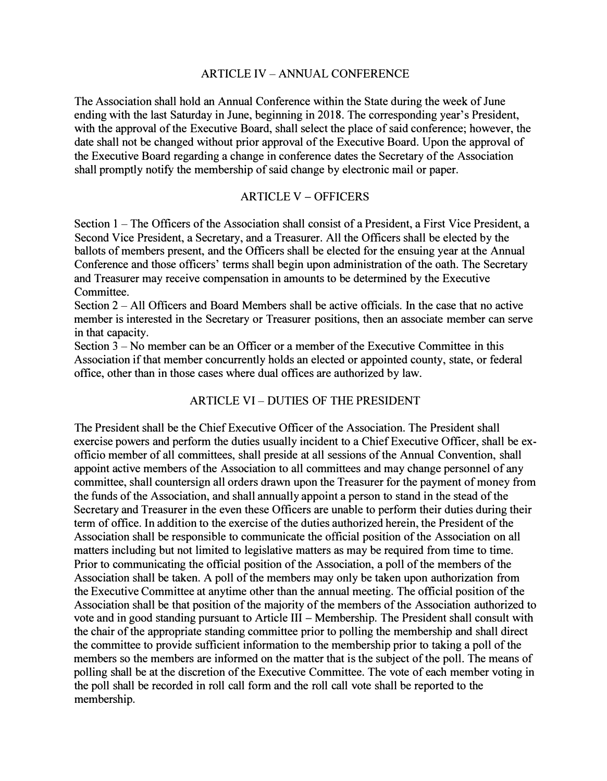### ARTICLE IV - ANNUAL CONFERENCE

The Association shall hold an Annual Conference within the State during the week of June ending with the last Saturday in June, beginning in 2018. The corresponding year's President, with the approval of the Executive Board, shall select the place of said conference; however, the date shall not be changed without prior approval of the Executive Board. Upon the approval of the Executive Board regarding a change in conference dates the Secretary of the Association shall promptly notify the membership of said change by electronic mail or paper.

## ARTICLE V - OFFICERS

Section 1 – The Officers of the Association shall consist of a President, a First Vice President, a Second Vice President, a Secretary, and a Treasurer. All the Officers shall be elected by the ballots of members present, and the Officers shall be elected for the ensuing year at the Annual Conference and those officers' terms shall begin upon administration of the oath. The Secretary and Treasurer may receive compensation in amounts to be determined by the Executive **Committee** 

Section 2 - All Officers and Board Members shall be active officials. In the case that no active member is interested in the Secretary or Treasurer positions, then an associate member can serve in that capacity.

Section 3 – No member can be an Officer or a member of the Executive Committee in this Association if that member concurrently holds an elected or appointed county, state, or federal office, other than in those cases where dual offices are authorized by law.

# ARTICLE VI - DUTIES OF THE PRESIDENT

The President shall be the Chief Executive Officer of the Association. The President shall exercise powers and perform the duties usually incident to a Chief Executive Officer, shall be exofficio member of all committees, shall preside at all sessions of the Annual Convention, shall appoint active members of the Association to all committees and may change personnel of any committee, shall countersign all orders drawn upon the Treasurer for the payment of money from the funds of the Association, and shall annually appoint a person to stand in the stead of the Secretary and Treasurer in the even these Officers are unable to perform their duties during their term of office. In addition to the exercise of the duties authorized herein, the President of the Association shall be responsible to communicate the official position of the Association on all matters including but not limited to legislative matters as may be required from time to time. Prior to communicating the official position of the Association, a poll of the members of the Association shall be taken. A poll of the members may only be taken upon authorization from the Executive Committee at anytime other than the annual meeting. The official position of the Association shall be that position of the majority of the members of the Association authorized to vote and in good standing pursuant to Article III - Membership. The President shall consult with the chair of the appropriate standing committee prior to polling the membership and shall direct the committee to provide sufficient information to the membership prior to taking a poll of the members so the members are informed on the matter that is the subject of the poll. The means of polling shall be at the discretion of the Executive Committee. The vote of each member voting in the poll shall be recorded in roll call form and the roll call vote shall be reported to the membership.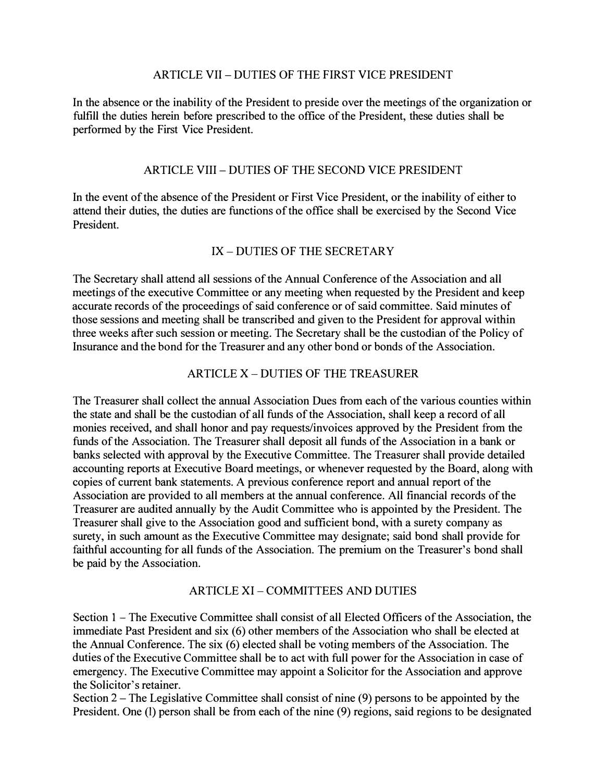# ARTICLE VII - DUTIES OF THE FIRST VICE PRESIDENT

In the absence or the inability of the President to preside over the meetings of the organization or fulfill the duties herein before prescribed to the office of the President, these duties shall be performed by the First Vice President.

# ARTICLE VIII - DUTIES OF THE SECOND VICE PRESIDENT

In the event of the absence of the President or First Vice President, or the inability of either to attend their duties, the duties are functions of the office shall be exercised by the Second Vice President.

# IX- DUTIES OF THE SECRETARY

The Secretary shall attend all sessions of the Annual Conference of the Association and all meetings of the executive Committee or any meeting when requested by the President and keep accurate records of the proceedings of said conference or of said committee. Said minutes of those sessions and meeting shall be transcribed and given to the President for approval within three weeks after such session or meeting. The Secretary shall be the custodian of the Policy of Insurance and the bond for the Treasurer and any other bond or bonds of the Association.

# ARTICLE X- DUTIES OF THE TREASURER

The Treasurer shall collect the annual Association Dues from each of the various counties within the state and shall be the custodian of all funds of the Association, shall keep a record of all monies received, and shall honor and pay requests/invoices approved by the President from the funds of the Association. The Treasurer shall deposit all funds of the Association in a bank or banks selected with approval by the Executive Committee. The Treasurer shall provide detailed accounting reports at Executive Board meetings, or whenever requested by the Board, along with copies of current bank statements. A previous conference report and annual report of the Association are provided to all members at the annual conference. All financial records of the Treasurer are audited annually by the Audit Committee who is appointed by the President. The Treasurer shall give to the Association good and sufficient bond, with a surety company as surety, in such amount as the Executive Committee may designate; said bond shall provide for faithful accounting for all funds of the Association. The premium on the Treasurer's bond shall be paid by the Association.

## ARTICLE XI - COMMITTEES AND DUTIES

Section 1 – The Executive Committee shall consist of all Elected Officers of the Association, the immediate Past President and six (6) other members of the Association who shall be elected at the Annual Conference. The six (6) elected shall be voting members of the Association. The duties of the Executive Committee shall be to act with full power for the Association in case of emergency. The Executive Committee may appoint a Solicitor for the Association and approve the Solicitor's retainer.

Section 2 – The Legislative Committee shall consist of nine (9) persons to be appointed by the President. One (1) person shall be from each of the nine (9) regions, said regions to be designated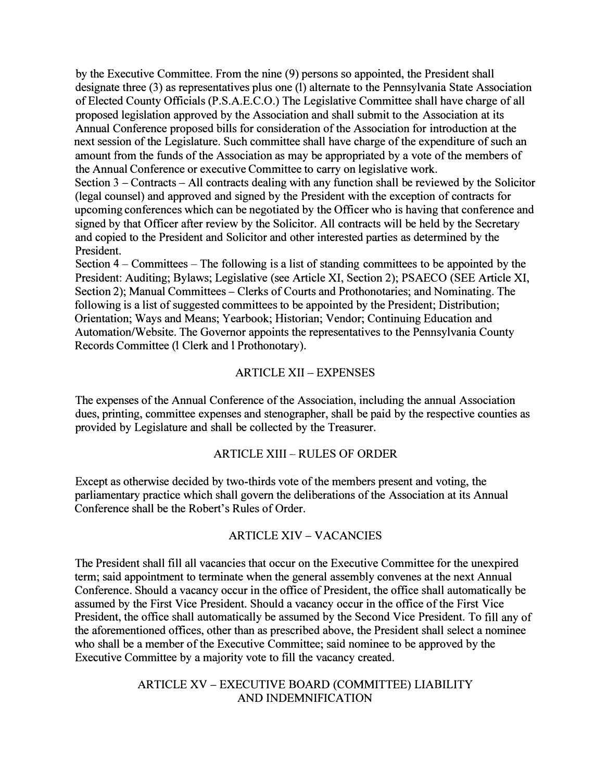by the Executive Committee. From the nine (9) persons so appointed, the President shall designate three (3) as representatives plus one (1) alternate to the Pennsylvania State Association of Elected County Officials (P.S.A.E.C.O.) The Legislative Committee shall have charge of all proposed legislation approved by the Association and shall submit to the Association at its Annual Conference proposed bills for consideration of the Association for introduction at the next session of the Legislature. Such committee shall have charge of the expenditure of such an amount from the funds of the Association as may be appropriated by a vote of the members of the Annual Conference or executive Committee to carry on legislative work.

Section 3 – Contracts – All contracts dealing with any function shall be reviewed by the Solicitor (legal counsel) and approved and signed by the President with the exception of contracts for upcoming conferences which can be negotiated by the Officer who is having that conference and signed by that Officer after review by the Solicitor. All contracts will be held by the Secretary and copied to the President and Solicitor and other interested parties as determined by the President.

Section  $4 -$  Committees  $-$  The following is a list of standing committees to be appointed by the President: Auditing; Bylaws; Legislative (see Article XI, Section 2); PSAECO (SEE Article XI, Section 2); Manual Committees – Clerks of Courts and Prothonotaries; and Nominating. The following is a list of suggested committees to be appointed by the President; Distribution; Orientation; Ways and Means; Yearbook; Historian; Vendor; Continuing Education and Automation/Website. The Governor appoints the representatives to the Pennsylvania County Records Committee (1 Clerk and 1 Prothonotary).

## ARTICLE XII - EXPENSES

The expenses of the Annual Conference of the Association, including the annual Association dues, printing, committee expenses and stenographer, shall be paid by the respective counties as provided by Legislature and shall be collected by the Treasurer.

## ARTICLE XIII - RULES OF ORDER

Except as otherwise decided by two-thirds vote of the members present and voting, the parliamentary practice which shall govern the deliberations of the Association at its Annual Conference shall be the Robert's Rules of Order.

## ARTICLE XIV - VACANCIES

The President shall fill all vacancies that occur on the Executive Committee for the unexpired term; said appointment to terminate when the general assembly convenes at the next Annual Conference. Should a vacancy occur in the office of President, the office shall automatically be assumed by the First Vice President. Should a vacancy occur in the office of the First Vice President, the office shall automatically be assumed by the Second Vice President. To fill any of the aforementioned offices, other than as prescribed above, the President shall select a nominee who shall be a member of the Executive Committee; said nominee to be approved by the Executive Committee by a majority vote to fill the vacancy created.

# ARTICLE XV - EXECUTIVE BOARD (COMMITTEE) LIABILITY AND INDEMNIFICATION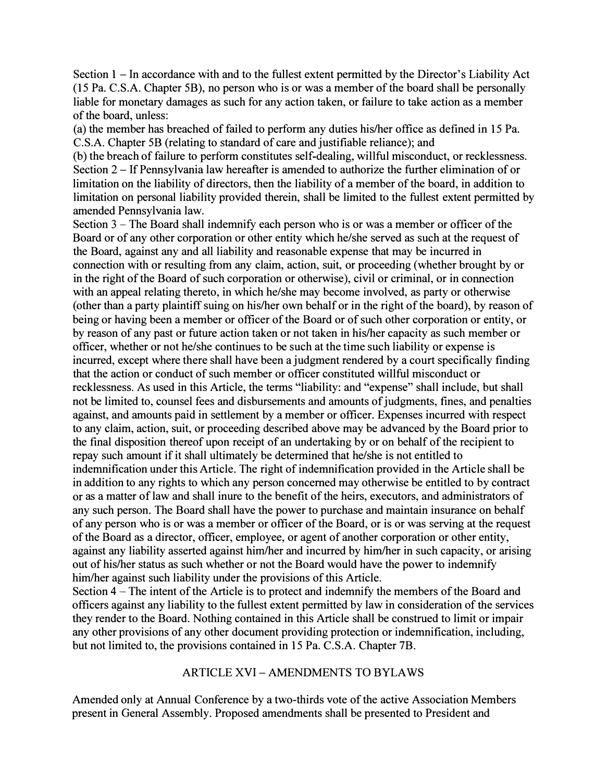Section 1 – In accordance with and to the fullest extent permitted by the Director's Liability Act (15 Pa. C.S.A. Chapter 5B), no person who is or was a member of the board shall be personally liable for monetary damages as such for any action taken, or failure to take action as a member of the board, unless:

(a) the member has breached of failed to perform any duties his/her office as defined in 15 Pa. C.S.A. Chapter 5B (relating to standard of care and justifiable reliance); and

(b) the breach of failure to perform constitutes self-dealing, willful misconduct, or recklessness. Section 2 - If Pennsylvania law hereafter is amended to authorize the further elimination of or limitation on the liability of directors, then the liability of a member of the board, in addition to limitation on personal liability provided therein, shall be limited to the fullest extent permitted by amended Pennsylvania law.

Section 3 – The Board shall indemnify each person who is or was a member or officer of the Board or of any other corporation or other entity which he/she served as such at the request of the Board, against any and all liability and reasonable expense that may be incurred in connection with or resulting from any claim, action, suit, or proceeding ( whether brought by or in the right of the Board of such corporation or otherwise), civil or criminal, or in connection with an appeal relating thereto, in which he/she may become involved, as party or otherwise ( other than a party plaintiff suing on his/her own behalf or in the right of the board), by reason of being or having been a member or officer of the Board or of such other corporation or entity, or by reason of any past or future action taken or not taken in his/her capacity as such member or officer, whether or not he/she continues to be such at the time such liability or expense is incurred, except where there shall have been a judgment rendered by a court specifically finding that the action or conduct of such member or officer constituted willful misconduct or recklessness. As used in this Article, the terms "liability: and "expense" shall include, but shall not be limited to, counsel fees and disbursements and amounts of judgments, fines, and penalties against, and amounts paid in settlement by a member or officer. Expenses incurred with respect to any claim, action, suit, or proceeding described above may be advanced by the Board prior to the final disposition thereof upon receipt of an undertaking by or on behalf of the recipient to repay such amount if it shall ultimately be determined that he/she is not entitled to indemnification under this Article. The right of indemnification provided in the Article shall be in addition to any rights to which any person concerned may otherwise be entitled to by contract or as a matter of law and shall inure to the benefit of the heirs, executors, and administrators of any such person. The Board shall have the power to purchase and maintain insurance on behalf of any person who is or was a member or officer of the Board, or is or was serving at the request of the Board as a director, officer, employee, or agent of another corporation or other entity, against any liability asserted against him/her and incurred by him/her in such capacity, or arising out of his/her status as such whether or not the Board would have the power to indemnify him/her against such liability under the provisions of this Article.

Section 4 – The intent of the Article is to protect and indemnify the members of the Board and officers against any liability to the fullest extent permitted by law in consideration of the services they render to the Board. Nothing contained in this Article shall be construed to limit or impair any other provisions of any other document providing protection or indemnification, including, but not limited to, the provisions contained in 15 Pa. C.S.A. Chapter 7B.

# ARTICLE XVI - AMENDMENTS TO BYLAWS

Amended only at Annual Conference by a two-thirds vote of the active Association Members present in General Assembly. Proposed amendments shall be presented to President and